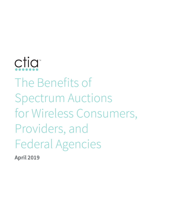# ctia™ The Benefits of Spectrum Auctions for Wireless Consumers, Providers, and Federal Agencies

**April 2019**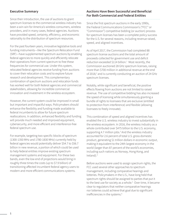#### **Executive Summary**

Since their introduction, the use of auctions to grant spectrum licenses to the commercial wireless industry has been a win-win for America's wireless consumers, wireless providers, and in many cases, federal agencies. Auctions have provided speed, certainty, efficiency, and economic rationality to the distribution of spectrum resources.

For the past fourteen years, innovative legislative tools and funding instruments—like the Spectrum Relocation Fund (SRF)—have supplemented spectrum auctions by enabling federal agencies to more quickly and efficiently relocate their operations from current spectrum to free these frequencies for commercial use. Under this system, relocated federal agencies receive funding from auctions to cover their relocation costs and to explore future research and development. This complementary combination of spectrum auctions and relocation funds has worked well for both federal agencies and commercial stakeholders, allowing for incredible commercial innovation and investment in the wireless ecosystem.

However, the current system could be improved in small but important and impactful ways. Policymakers should enhance the flexibility and funding made available to federal incumbents to allow for future spectrum reallocations. In addition, enhanced flexibility and funding will provide much needed and improved equipment, cybersecurity, and more efficient and interference-free federal spectrum use.

For example, targeting two specific blocks of spectrum (1300-1350 MHz and 1780-1830 MHz) currently held by federal agencies would potentially deliver \$54.7 to \$56.7 billion in new revenue, a portion of which could be used to help federal entities improve existing spectrum management systems and equipment. For these two bands, even the low end of projections would bring in roughly three times the costs (up to \$7.9 billion) of transitioning affected incumbent federal agency users to modern and more efficient communications systems.

#### **Auctions Have Been Successful and Beneficial For Both Commercial and Federal Entities**

Since the first spectrum auctions in the early 1990s, the Federal Communications Commission's ("FCC" or "Commission") competitive bidding (or auction) process for spectrum licenses has been a complete policy success for the U.S. for several reasons, including revenue raised, speed, and aligned incentives.

As of April 2017, the Commission had completed 88 spectrum license auctions and the total amount of proceeds collected for government use and deficit reduction exceeded \$114 billion.<sup>1</sup> Most recently, the Commission auctioned 28 GHz spectrum licenses, raising more than \$700 million in additional revenue at the end of 2018,<sup>2</sup> and is currently conducting an auction of 24 GHz spectrum licenses.

Notably, while significant and beneficial, the positive effects flowing from auctions are not limited to raised revenue. The use of competitive bidding has also increased the speed of licensing while simultaneously granting a bundle of rights to licensees that are exclusive (entitled to protection from interference) and flexible (allowing licensees to freely innovate).

This combination of speed and aligned incentives has enabled the U.S. wireless industry to invest substantially in the wireless ecosystem. In 2016, the wireless industry as a whole contributed over \$475 billion to the U.S. economy, supporting 4.7 million jobs.<sup>3</sup> And the wireless industry accounted for 2.6 percent of total U.S. gross domestic product, generating \$1 trillion dollars in economic output, making it equivalent to the 24th largest economy in the world (larger than 87 percent of the world's economies, including such nations as Norway, Hong Kong, and Ireland).4

Before auctions were used to assign spectrum rights, the FCC used several other approaches to spectrum management, including comparative hearings and lotteries. Policymakers in the U.S., have long held that spectrum rights should be assigned to parties that put it to the best use for society as a whole.<sup>5</sup> Over time, it became clear to regulators that neither comparative hearings nor lotteries could achieve that goal due to significant inefficiencies in the systems.<sup>6</sup>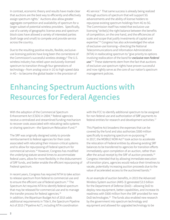In contrast, economic theory and results have made clear that auctions are the best way to efficiently and effectively assign spectrum rights.<sup>7</sup> Auctions also allow greater aggregate competition and availability of spectrum for a larger subset of potential wireless providers. Specifically, use of a variety of geographic license area and spectrum block sizes have allowed a variety of interested parties (both large and small) to compete and provide service across the country.

Due to the resulting positive results, flexible, exclusiveuse licensing policies have long been the cornerstone of the Commission's successful wireless strategy.8 The U.S. wireless industry has relied upon exclusively-licensed spectrum to transition through four generations of technology—from analog voice in 1G to high-speed data in 4G— to become the global leader in the provision of

4G service.<sup>9</sup> That same success is already being realized through auctions of spectrum that will support 5G advancements and the ability of license holders to repurpose existing spectrum holdings from 4G to 5G. The Commission itself has noted that exclusive-use licensing "strike[s] the right balance between the benefits of competition, on the one hand, and the efficiencies of scale and scope that justify investments of capital and expertise."<sup>10</sup> Congress has also acknowledged the value of exclusive-use licensing—directing the National Telecommunications and Information Administration (NTIA) in reallocating spectrum to "give priority to options involving reallocation of the band for *exclusive non-Federal use*."<sup>11</sup> These statements stem from the fact that auctions of exclusive-use spectrum rights have proven successful and now rightly serve as the core of our nation's spectrum management policies.

# **Enhancing Spectrum Auctions with Resources for Federal Agencies**

With the adoption of the Commercial Spectrum Enhancement Act (CSEA) in 2004,<sup>12</sup> federal agencies receive a centralized and streamlined funding mechanism to recover costs associated with relocating radio systems or sharing spectrum—the Spectrum Relocation Fund.<sup>13</sup>

The SRF was originally designed solely to provide reimbursement to federal agencies for their costs associated with relocating their mission-critical systems and to allow for repurposing of Federal spectrum for commercial services.14 However, Congress has modified the underlying statute several times to accommodate federal users, allow for more flexibility in the disbursement of SRF funds, and better enable the efficient repurposing of Federal spectrum.

In recent years, Congress has required NTIA to take action to release spectrum from federal to commercial use and to ensure the efficient use of federal spectrum.<sup>15</sup> The Spectrum Act requires NTIA to identify federal spectrum that may be released for commercial use and to manage the transfer process for federal agencies.<sup>16</sup> In addition, the Bipartisan Budget Act of 2015 adds additional requirements in Title X, the Spectrum Pipeline Act of 2015 ("Pipeline Act"), including NTIA coordination

with the FCC to identify additional spectrum to be assigned for non-federal use and authorization of SRF payments to federal entities for research and development activities.<sup>17</sup>

This Pipeline Act broadens the expenses that can be covered by the fund and also authorizes \$500 million specifically to exploring spectrum re-purposing.<sup>18</sup> In 2017, the MOBILE NOW Act<sup>19</sup> took action to accelerate the relocation of Federal entities by allowing existing SRF balances to be transferred to agencies for transition efforts immediately upon completion of an auction, rather than after the actual receipt by the SRF of auction proceeds.<sup>20</sup> Congress intended that by allowing immediate execution of transition plans, agencies would reduce their timelines to vacate, potentially increasing auction proceeds due to the value of accelerated access to the auctioned bands.21

As an example of auction benefits, in 2015 the Advanced Wireless System auction (AWS-3) generated \$3.5 billion for the Department of Defense (DoD)—allowing DoD to deploy new equipment, better capabilities, and increase its readiness with \$500 million from the SRF provided for new DoD technologies.<sup>22</sup> The funds also enabled new research by the government into spectrum technology and equipment and allowed for upgraded technology to be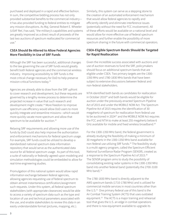purchased and deployed in a rapid and effective fashion. In sum, the competitive bidding process has not only provided substantial benefits to the commercial industry it has also provided funding to federal entities to mitigate any mission disruptions. As Maj. General Robert E. Wheeler (USAF Ret.) has said, "the military's capabilities and systems are greatly improved as a direct result of proceeds of the last two auctions of spectrum reallocated for commercial use."

#### **CSEA Should Be Altered to Allow Federal Agencies More Flexibility In Use of SRF Funds**

Although the SRF has been successful, additional changes to the law governing the use of SRF funds would greatly benefit both federal agencies and the commercial wireless industry. Improving accessibility to SRF funds is the most critical change necessary for DoD to help preserve mission-critical functions today.23

Agencies are already able to draw from the SRF upfront to cover research and development, but these requests are governed by a lengthy review process to determine the projected increase in value that such research and development might create.24 More freedom to improve spectrum use efficiency would allow DoD users to more quickly integrate and streamline missions—which would more quickly vacate more spectrum and allow that spectrum to be available for auction.<sup>25</sup>

Relaxing SRF requirements and allowing more use of the funds by DoD could also help improve the authorization and enforcement mechanisms for federal spectrum usage. For example, SRF funds could be utilized to develop a standardized national spectrum data information repository that would serve as the authenticated data source for all federal spectrum usage. As part of this tool, a suite of nationally or federally-agreed-upon modeling and simulation methodologies could be embedded to allow for real-time engineering studies.

Promulgation of this national system would allow rapid information exchange between federal agencies, allowing agencies requesting use of federal spectrum to obtain almost instantaneous certification/assignment such requests. Under this system, all federal spectrum stakeholders (with appropriate clearances) would be able to access a variety of spectrum data such as the type and location of use and technical parameters associated with the use, and enable stakeholders to review this data in an easily understandable format (pictures, mapping, etc.).

Similarly, this system can serve as a stepping stone to the creation of an automated enforcement mechanism that would allow federal agencies to rapidly and efficiently identify and eliminate interference issues (potentially without the need for FCC involvement). All of these efforts would be available on a national level and would allow for more effective use of federal spectrum resources and further enable the possibility of more spectrum sharing in the future with commercial operators.

#### **CSEA-Eligible Spectrum Bands Should Be Targeted for Rapid Reallocation**

Given the incredible success associated with auctions and use of auction revenues to fund the SRF, policymakers should focus on additional spectrum bands that are eligible under CSEA. Two primary targets are the 1300- 1350 MHz and 1780-1830 MHz bands that have been subject to extensive discussions between federal and non-federal stakeholders.

NTIA identified both bands as candidates for reallocation in October 2010<sup>26</sup> and both bands would be eligible for auction under the previously-enacted Spectrum Pipeline Act of 2015 and under the MOBILE NOW Act. The Spectrum Pipeline Act of 2015 requires the identification of 30 megahertz of spectrum for reallocation from federal use to be auctioned in 2024<sup>27</sup> and the MOBILE NOW Act requires the FCC and NTIA to make at least 255 megahertz below 6 GHz available for mobile and fixed wireless broadband.<sup>28</sup>

For the 1300-1350 MHz band, the federal government is already studying the feasibility of making a minimum of 30 megahertz in the 1300-1350 MHz band available for non-federal use utilizing SRF funds.<sup>29</sup> The feasibility study is a multi-agency program, called the Spectrum Efficient National Surveillance Radar Program (SENSR), created as a response to the Spectrum Pipeline Act of 2015.<sup>30</sup> The SENSR program aims to study the possibility of consolidating existing radar systems in the 1300-1350 MHz band into another federal band (potentially the 2700-3100 MHz band).<sup>31</sup>

The 1780-1830 MHz band is directly adjacent to the AWS spectrum bands (1710-1780 MHz) and is utilized for commercial mobile services in most countries other than the U.S.<sup>32</sup> One primary federal use of this band is the Air Combat Training System (ACTS) that uses outdated equipment.<sup>33</sup> The ACTS is a major training and rehearsal tool that gives the U.S. an edge in combat operations and there is now equipment available to upgrade its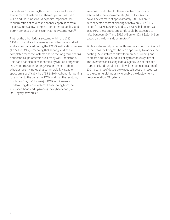capabilities.34 Targeting this spectrum for reallocation to commercial systems and thereby permitting use of CSEA and SRF funds would expedite important DoD modernization at zero cost, enhance capabilities from legacy system, allow complete joint interoperability, and permit enhanced cyber security at the systems level.<sup>35</sup>

Further, the other federal systems within the 1780- 1830 MHz band are the same systems that were studied and accommodated during the AWS-3 reallocation process (1755-1780 MHz)—meaning that sharing studies are completed for those systems and so the long-term sharing and technical parameters are already well understood. This band has also been identified by DoD as a target for DoD modernization funding.36 Major General Robert Wheeler recently noted that commercially-valuable spectrum (specifically the 1755-1830 MHz band) is ripening for auction to the benefit of DOD, and that the resulting funds can "pay for" two major DOD requirements: modernizing defense systems transitioning from the auctioned band and upgrading the cyber-security of DoD legacy networks.37

Revenue possibilities for these spectrum bands are estimated to be approximately \$62.6 billion (with a downside estimate of approximately \$31.3 billion).<sup>38</sup> With expected costs of clearing of between \$3.67-\$4.17 billion for 1300-1350 MHz and \$2.26-\$3.76 billion for 1780- 1830 MHz, these spectrum bands could be expected to raise between \$54.7 and \$56.7 billion (or \$23.4-\$25.4 billion based on the downside estimate).<sup>39</sup>

While a substantial portion of this money would be directed to the Treasury, Congress has an opportunity to modify the existing CSEA statute to allow for more SRF funding and to create additional fund flexibility to enable significant improvements in existing federal agency use of the spectrum. The funds would also allow for rapid reallocation of 100 megahertz of desperately needed spectrum resources to the commercial industry to enable the deployment of next-generation 5G systems.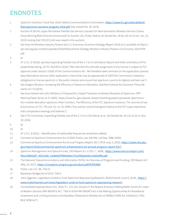## **ENDNOTES**

- 1 Spectrum Auctions: Fiscal Year 2018, Federal Communications Commission, https://www.fcc.gov/sites/default/ files/spectrum-auctions-program-2018.pdf (last visited Feb. 28, 2019).
- 2 Auction of 28 GHz Upper Microwave Flexible Use Service Licenses For Next-Generation Wireless Services Closes; Gross Winning Bids Amounts Announced For Auction 101, Public Notice, AU Docket No. 18-85, DA 19-23 (rel. Jan. 31, 2019) (noting that \$702,572,410 was raised in the auction).
- 3 See How the Wireless Industry Powers the U.S. Economy, Accenture Strategy Report (2018) at 3, available at https:// api.ctia.org/wp-content/uploads/2018/04/Accenture-Strategy-Wireless-Industry-Powers-US-Economy-2018-POV. pdf .
- 4 Id.
- 5 47 U.S.C. § 310(d); see also Expanding Flexible Use of the 3.7 to 4.2 GHz Band, Report and Order and Notice of Proposed Rulemaking, 33 FCC Rcd 6915 (2018) ("We note that the ultimate assignment of any license is subject to FCC approval under Section 310(d) of the Communications Act. We therefore seek comment on the application process described above and any other application criteria that may be appropriate to fulfill the Commission's statutory obligations to license spectrum in the public interest and ensure that spectrum is put to its highest and best use.").
- 6 See Gregory Rosston, Increasing the Efficiency of Spectrum Allocation, Stanford Institute for Economic Policy Research at 7-8 (2014);
- 7 See Evan Kwerel and John Williams, A Proposal for a Rapid Transition to Market Allocation of Spectrum, OPP Working Paper Series at 37 (2002), https://www.fcc.gov/reports-research/working-papers/proposal-rapid-transition-market-allocation-spectrum; Peter Cramton, The Efficiency of the FCC Spectrum Auctions, The Journal of Law & Economics at 727, 735 (vol. 41, no. S2 1998) ("Any auction would look good relative to the FCC's past experience with comparative hearings and lotteries.").
- 8 See CTIA Comments, Expanding Flexible Use of the 3.7 to 4.2 GHz Band, et al., GN Docket No. 18-122 at 20-21 (Oct. 29, 2018).
- 9 Id.

10 Id.

- 11 47 U.S.C. § 923(j) Identification of reallocable frequencies (emphasis added).
- 12 Commercial Spectrum Enhancement Act of 2004, Public Law 108 494, 118 Stat. 3986 (2004).
- 13 Commercial Spectrum Enhancement Act Annual Progress Report 2017, NTIA (July 3, 2018), https://www.ntia.doc. gov/report/2018/commercial-spectrum-enhancement-act-annual-progress-report-2017.
- 14 Spectrum Management and Special Funds, CRS Report at 1-2 (Oct. 7, 2008), https://www.everycrsreport.com/ files/20081007\_RS21508\_12eb6397f984a95ec7411f2fa0a426c142853f88.pdf.
- 15 The National Telecommunications and Information (NTIA): An Overview of Programs and Funding, CRS Report at 5 (May 19, 2017), https://crsreports.congress.gov/product/pdf/R/R43866.
- 16 Public Law 112- 96, Title VI.
- 17 Bipartisan Budget Act of 2015, Title X.
- 18 John Eggerton, Legislators United to Fund Spectrum Repurposing Research, Multichannel (June 6, 2018), https:// www.multichannel.com/news/legislators-unite-to-fund-spectrum-repurposing-research.
- 19 Consolidated Appropriations Act, 2018, P.L. 115-141, Division P, the Repack Airwaves Yielding Better Access for Users of Modern Services (RAY BAUM'S) Act. Title VI of the RAY BAUM'S Act is the Making Opportunities for Broadband Investment and Limiting Excessive and Needless Obstacles to Wireless Act or MOBILE NOW Act, § 603(a)(1) ("MO-BILE NOW Act").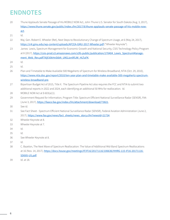### **ENDNOTES**

- 20 Thune Applauds Senate Passage of His MOBILE NOW Act, John Thune U.S. Senator for South Dakota (Aug. 3, 2017), https://www.thune.senate.gov/public/index.cfm/2017/8/thune-applauds-senate-passage-of-his-mobile-nowact. 21 Id. 22 Maj. Gen. Robert E. Wheeler (Ret), Next Steps to Revolutionary Change of Spectrum Usage, at 6 (May 24, 2017), https://c4i.gmu.edu/wp-content/uploads/AFCEA-GMU-2017-Wheeler.pdf ("Wheeler Keynote"). 23 James Lewis, Spectrum Management for Economic Growth and National Security, CSIS Technology Policy Program at 8 (2017), https://csis-prod.s3.amazonaws.com/s3fs-public/publication/170404\_Lewis\_SpectrumManagement\_Web\_Rev.pdf?XIjFJ0kHnStbN\_UM2Jzn9fIJW\_HLTuFK. 24 Id. 25 Id. 26 Plan and Timetable to Make Available 500 Megahertz of Spectrum for Wireless Broadband, NTIA (Oct. 29, 2010), https://www.ntia.doc.gov/report/2010/ten-year-plan-and-timetable-make-available-500-megahertz-spectrumwireless-broadband-pre. 27 Bipartisan Budget Act of 2015, Title X. The Spectrum Pipeline Act also requires the FCC and NTIA to submit two additional reports in 2022 and 2024, each identifying an additional 50 MHz for reallocation. Id. 28 MOBILE NOW Act at § 603(a)(1). 29 Government Request for Information, Program Title: Spectrum Efficient National Surveillance Radar (SENSR), FAA (June 3, 2017), https://faaco.faa.gov/index.cfm/attachment/download/73821. 30 See id. 31 See Fact Sheet - Spectrum Efficient National Surveillance Radar (SENSR), Federal Aviation Administration (June 2, 2017), https://www.faa.gov/news/fact\_sheets/news\_story.cfm?newsId=21734. 32 Wheeler Keynote at 8. 33 Wheeler Keynote at 7. 34 Id. 35 Id. 36 See Wheeler Keynote at 8. 37 Id. 38 C. Bazelon, The Next Wave of Spectrum Reallocation: The Value of Additional Mid-Band Spectrum Reallocations at 16 (Nov. 14, 2017), https://docs.house.gov/meetings/IF/IF16/20171116/106636/HHRG-115-IF16-20171116- SD005-U5.pdf.
- 39 Id. at 18.